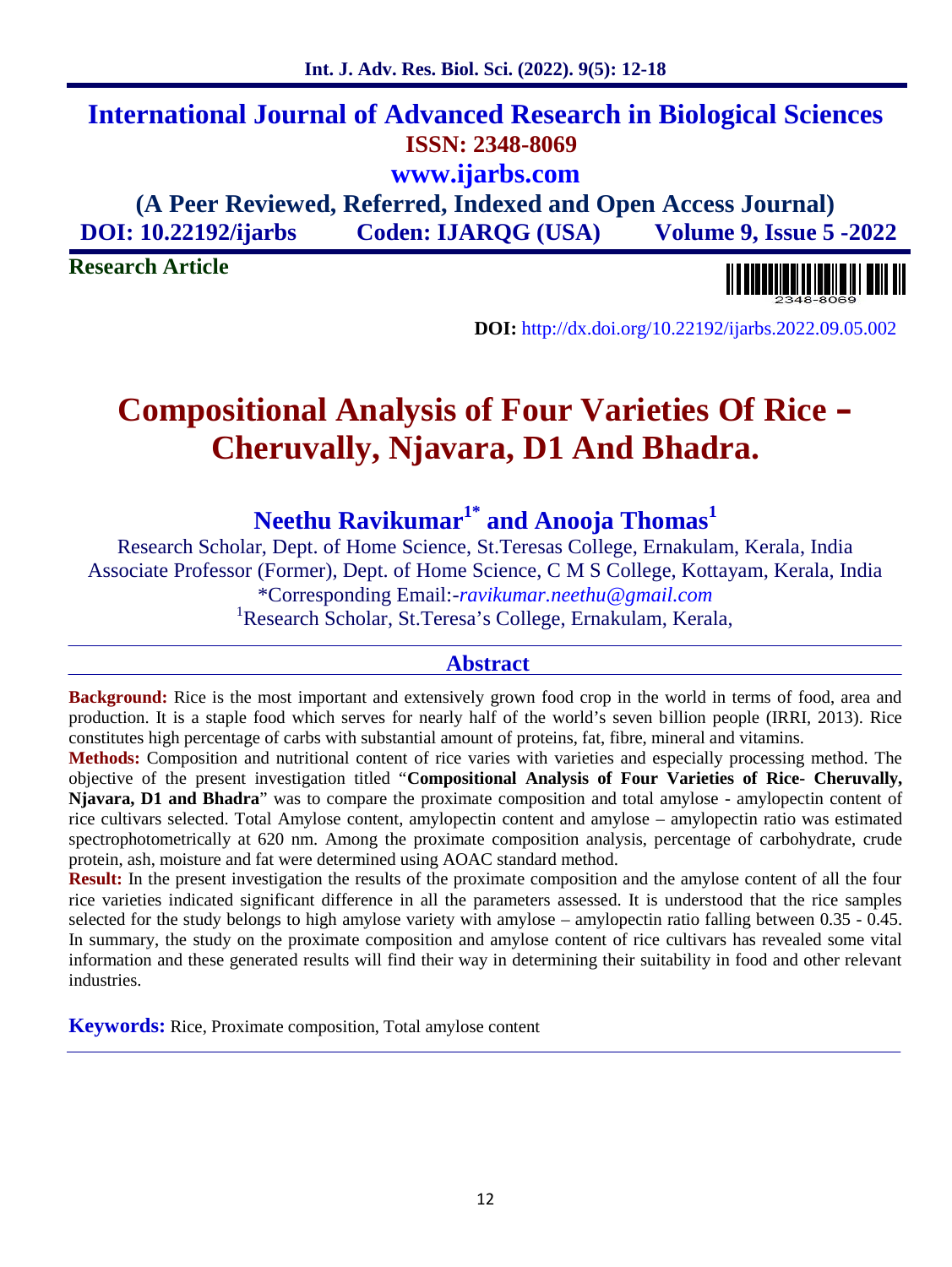# **International Journal of Advanced Research in Biological Sciences ISSN: 2348-8069 www.ijarbs.com**

**(A Peer Reviewed, Referred, Indexed and Open Access Journal) DOI: 10.22192/ijarbs Coden: IJARQG (USA) Volume 9, Issue 5 -2022**

**Research Article**

**DOI:** http://dx.doi.org/10.22192/ijarbs.2022.09.05.002

# **Compositional Analysis of Four Varieties Of Rice – Cheruvally, Njavara, D1 And Bhadra.**

**Neethu Ravikumar1\* and Anooja Thomas<sup>1</sup>**

Research Scholar, Dept. of Home Science, St.Teresas College, Ernakulam, Kerala, India Associate Professor (Former), Dept. of Home Science, C M S College, Kottayam, Kerala, India \*Corresponding Email:-*ravikumar.neethu@gmail.com* <sup>1</sup>Research Scholar, St.Teresa's College, Ernakulam, Kerala,

#### **Abstract**

**Background:** Rice is the most important and extensively grown food crop in the world in terms of food, area and production. It is a staple food which serves for nearly half of the world's seven billion people (IRRI, 2013). Rice constitutes high percentage of carbs with substantial amount of proteins, fat, fibre, mineral and vitamins.

**Methods:** Composition and nutritional content of rice varies with varieties and especially processing method. The objective of the present investigation titled "**Compositional Analysis of Four Varieties of Rice- Cheruvally, Njavara, D1 and Bhadra**" was to compare the proximate composition and total amylose - amylopectin content of rice cultivars selected. Total Amylose content, amylopectin content and amylose – amylopectin ratio was estimated spectrophotometrically at 620 nm. Among the proximate composition analysis, percentage of carbohydrate, crude protein, ash, moisture and fat were determined using AOAC standard method.

**Result:** In the present investigation the results of the proximate composition and the amylose content of all the four rice varieties indicated significant difference in all the parameters assessed. It is understood that the rice samples selected for the study belongs to high amylose variety with amylose – amylopectin ratio falling between 0.35 - 0.45. In summary, the study on the proximate composition and amylose content of rice cultivars has revealed some vital information and these generated results will find their way in determining their suitability in food and other relevant industries.

**Keywords:** Rice, Proximate composition, Total amylose content

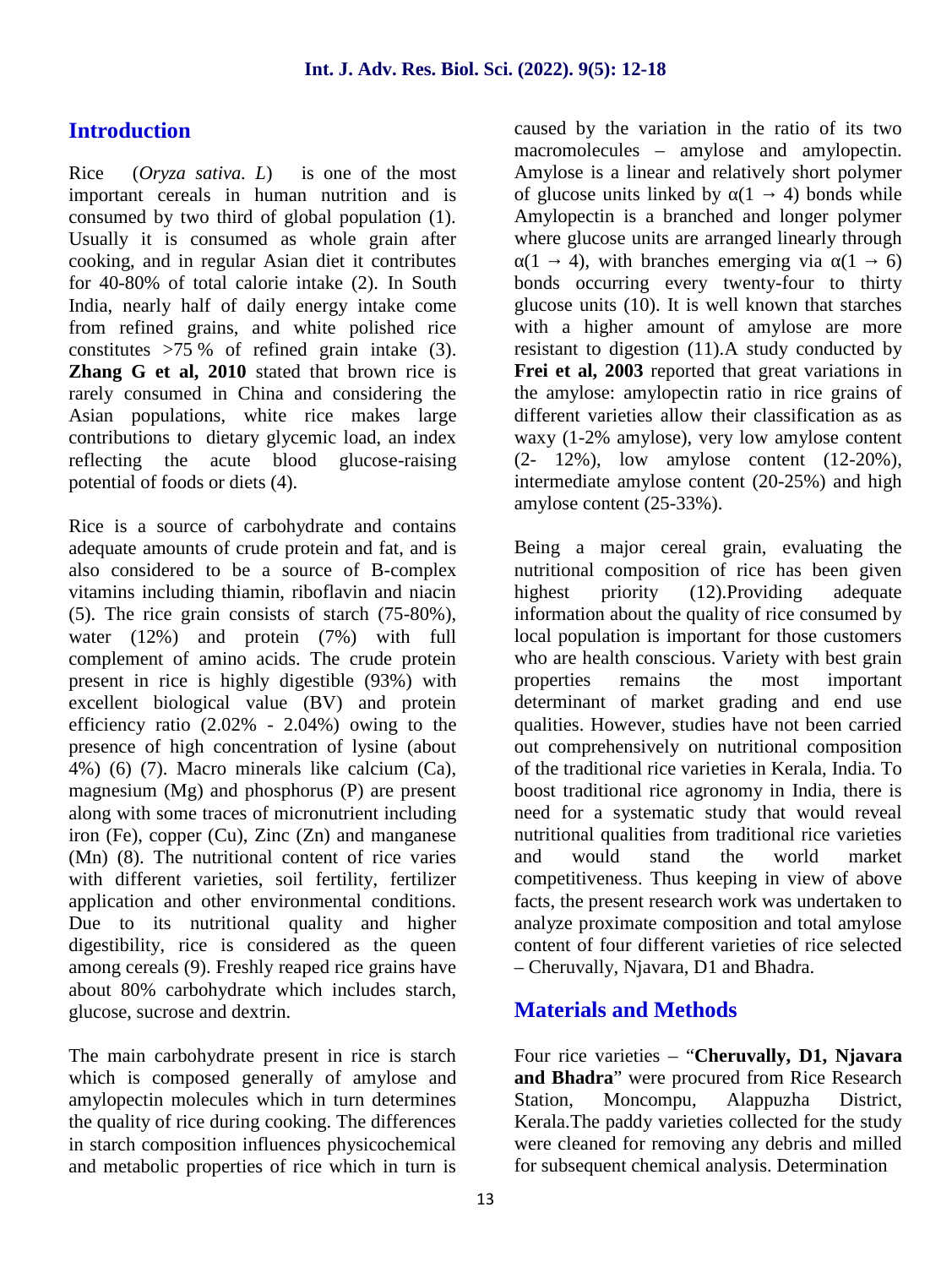## **Introduction**

Rice (*Oryza sativa. L*) is one of the most important cereals in human nutrition and is consumed by two third of global population (1). Usually it is consumed as whole grain after cooking, and in regular Asian diet it contributes for 40-80% of total calorie intake (2). In South India, nearly half of daily energy intake come from refined grains, and white polished rice constitutes  $>75\%$  of refined grain intake (3). **Zhang G et al. 2010** stated that brown rice is rarely consumed in China and considering the Asian populations, white rice makes large contributions to dietary glycemic load, an index reflecting the acute blood glucose-raising potential of foods or diets (4).

Rice is a source of carbohydrate and contains adequate amounts of crude protein and fat, and is also considered to be a source of B-complex vitamins including thiamin, riboflavin and niacin (5). The rice grain consists of starch (75-80%), water (12%) and protein (7%) with full complement of amino acids. The crude protein present in rice is highly digestible (93%) with excellent biological value (BV) and protein efficiency ratio (2.02% - 2.04%) owing to the presence of high concentration of lysine (about 4%) (6) (7). Macro minerals like calcium (Ca), magnesium (Mg) and phosphorus (P) are present along with some traces of micronutrient including iron (Fe), copper (Cu), Zinc (Zn) and manganese (Mn) (8). The nutritional content of rice varies with different varieties, soil fertility, fertilizer application and other environmental conditions. Due to its nutritional quality and higher digestibility, rice is considered as the queen among cereals (9). Freshly reaped rice grains have about 80% carbohydrate which includes starch, glucose, sucrose and dextrin.

The main carbohydrate present in rice is starch which is composed generally of amylose and amylopectin molecules which in turn determines the quality of rice during cooking. The differences in starch composition influences physicochemical and metabolic properties of rice which in turn is caused by the variation in the ratio of its two macromolecules – amylose and amylopectin. Amylose is a linear and relatively short polymer of glucose units linked by  $(1, 4)$  bonds while Amylopectin is a branched and longer polymer where glucose units are arranged linearly through

 $(1, 4)$ , with branches emerging via  $(1, 6)$ bonds occurring every twenty-four to thirty glucose units (10). It is well known that starches with a higher amount of amylose are more resistant to digestion (11).A study conducted by **Frei et al, 2003** reported that great variations in the amylose: amylopectin ratio in rice grains of different varieties allow their classification as as waxy (1-2% amylose), very low amylose content (2- 12%), low amylose content (12-20%), intermediate amylose content (20-25%) and high amylose content (25-33%).

Being a major cereal grain, evaluating the nutritional composition of rice has been given priority (12).Providing adequate information about the quality of rice consumed by local population is important for those customers who are health conscious. Variety with best grain remains the most important determinant of market grading and end use qualities. However, studies have not been carried out comprehensively on nutritional composition of the traditional rice varieties in Kerala, India. To boost traditional rice agronomy in India, there is need for a systematic study that would reveal nutritional qualities from traditional rice varieties and would stand the world market competitiveness. Thus keeping in view of above facts, the present research work was undertaken to analyze proximate composition and total amylose content of four different varieties of rice selected – Cheruvally, Njavara, D1 and Bhadra.

### **Materials and Methods**

Four rice varieties – "**Cheruvally, D1, Njavara and Bhadra**" were procured from Rice Research Station, Moncompu, Alappuzha District, Kerala.The paddy varieties collected for the study were cleaned for removing any debris and milled for subsequent chemical analysis. Determination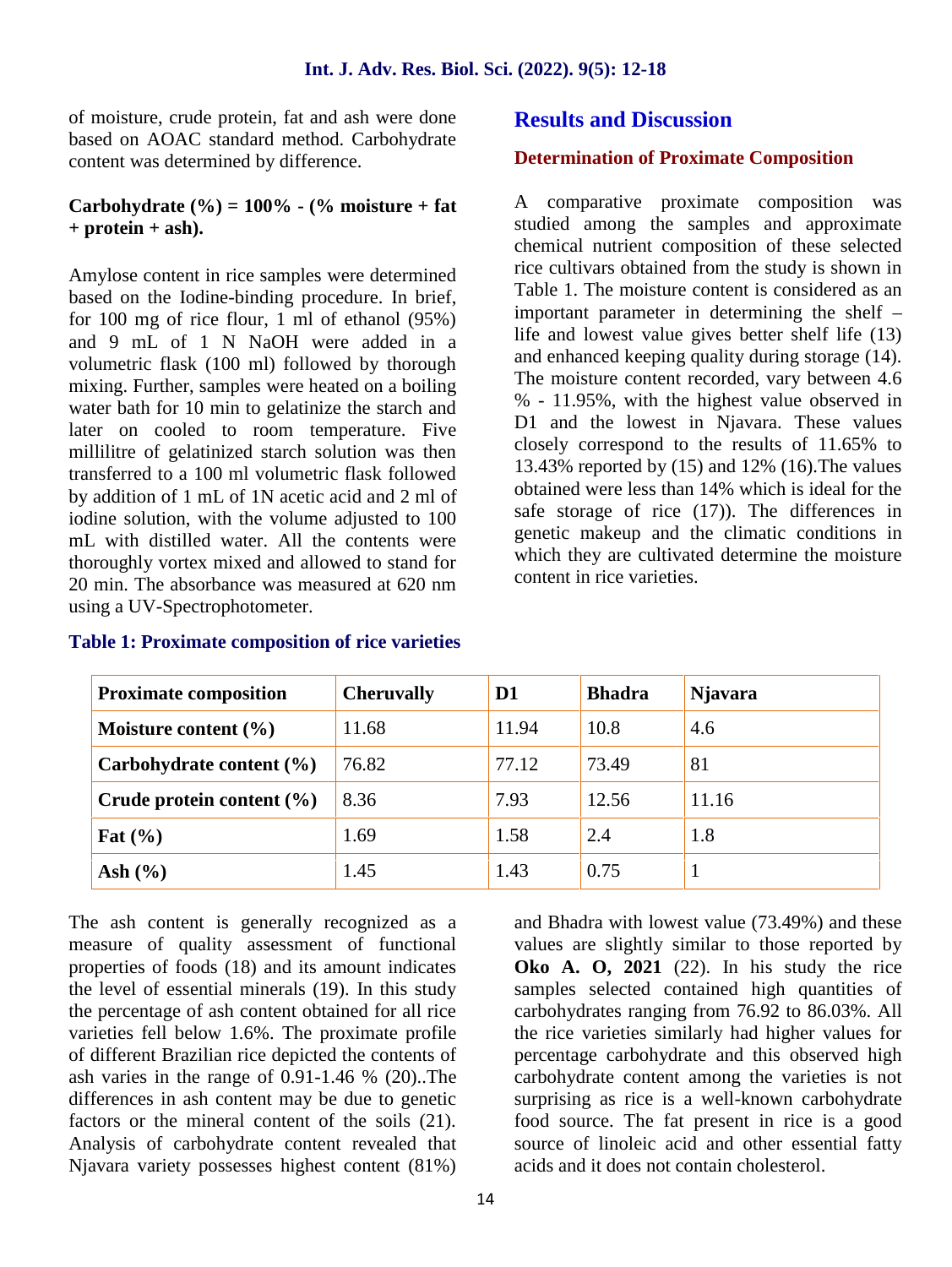of moisture, crude protein, fat and ash were done based on AOAC standard method. Carbohydrate content was determined by difference.

#### **Carbohydrate**  $(\% ) = 100\%$  **-**  $(\% )$  moisture + fat **+ protein + ash).**

Amylose content in rice samples were determined based on the Iodine-binding procedure. In brief, for 100 mg of rice flour, 1 ml of ethanol (95%) and 9 mL of 1 N NaOH were added in a volumetric flask (100 ml) followed by thorough mixing. Further, samples were heated on a boiling water bath for 10 min to gelatinize the starch and later on cooled to room temperature. Five millilitre of gelatinized starch solution was then transferred to a 100 ml volumetric flask followed by addition of 1 mL of 1N acetic acid and 2 ml of iodine solution, with the volume adjusted to 100 mL with distilled water. All the contents were thoroughly vortex mixed and allowed to stand for 20 min. The absorbance was measured at 620 nm using a UV-Spectrophotometer.

#### **Results and Discussion**

#### **Determination of Proximate Composition**

A comparative proximate composition was studied among the samples and approximate chemical nutrient composition of these selected rice cultivars obtained from the study is shown in Table 1. The moisture content is considered as an important parameter in determining the shelf – life and lowest value gives better shelf life (13) and enhanced keeping quality during storage (14). The moisture content recorded, vary between 4.6 % - 11.95%, with the highest value observed in D1 and the lowest in Njavara. These values closely correspond to the results of 11.65% to 13.43% reported by (15) and 12% (16).The values obtained were less than 14% which is ideal for the safe storage of rice (17)). The differences in genetic makeup and the climatic conditions in which they are cultivated determine the moisture content in rice varieties.

| <b>Proximate composition</b>  | <b>Cheruvally</b> | D <sub>1</sub> | <b>Bhadra</b> | <b>Njavara</b> |
|-------------------------------|-------------------|----------------|---------------|----------------|
| Moisture content $(\% )$      | 11.68             | 11.94          | 10.8          | 4.6            |
| Carbohydrate content $(\% )$  | 76.82             | 77.12          | 73.49         | 81             |
| Crude protein content $(\% )$ | 8.36              | 7.93           | 12.56         | 11.16          |
| Fat $(\% )$                   | 1.69              | 1.58           | 2.4           | 1.8            |
| Ash $(\% )$                   | 1.45              | 1.43           | 0.75          |                |

#### **Table 1: Proximate composition of rice varieties**

The ash content is generally recognized as a measure of quality assessment of functional properties of foods (18) and its amount indicates the level of essential minerals (19). In this study the percentage of ash content obtained for all rice varieties fell below 1.6%. The proximate profile of different Brazilian rice depicted the contents of ash varies in the range of 0.91-1.46 % (20)..The differences in ash content may be due to genetic factors or the mineral content of the soils (21). Analysis of carbohydrate content revealed that Njavara variety possesses highest content (81%) and Bhadra with lowest value (73.49%) and these values are slightly similar to those reported by **Oko A. O, 2021** (22). In his study the rice samples selected contained high quantities of carbohydrates ranging from 76.92 to 86.03%. All the rice varieties similarly had higher values for percentage carbohydrate and this observed high carbohydrate content among the varieties is not surprising as rice is a well-known carbohydrate food source. The fat present in rice is a good source of linoleic acid and other essential fatty acids and it does not contain cholesterol.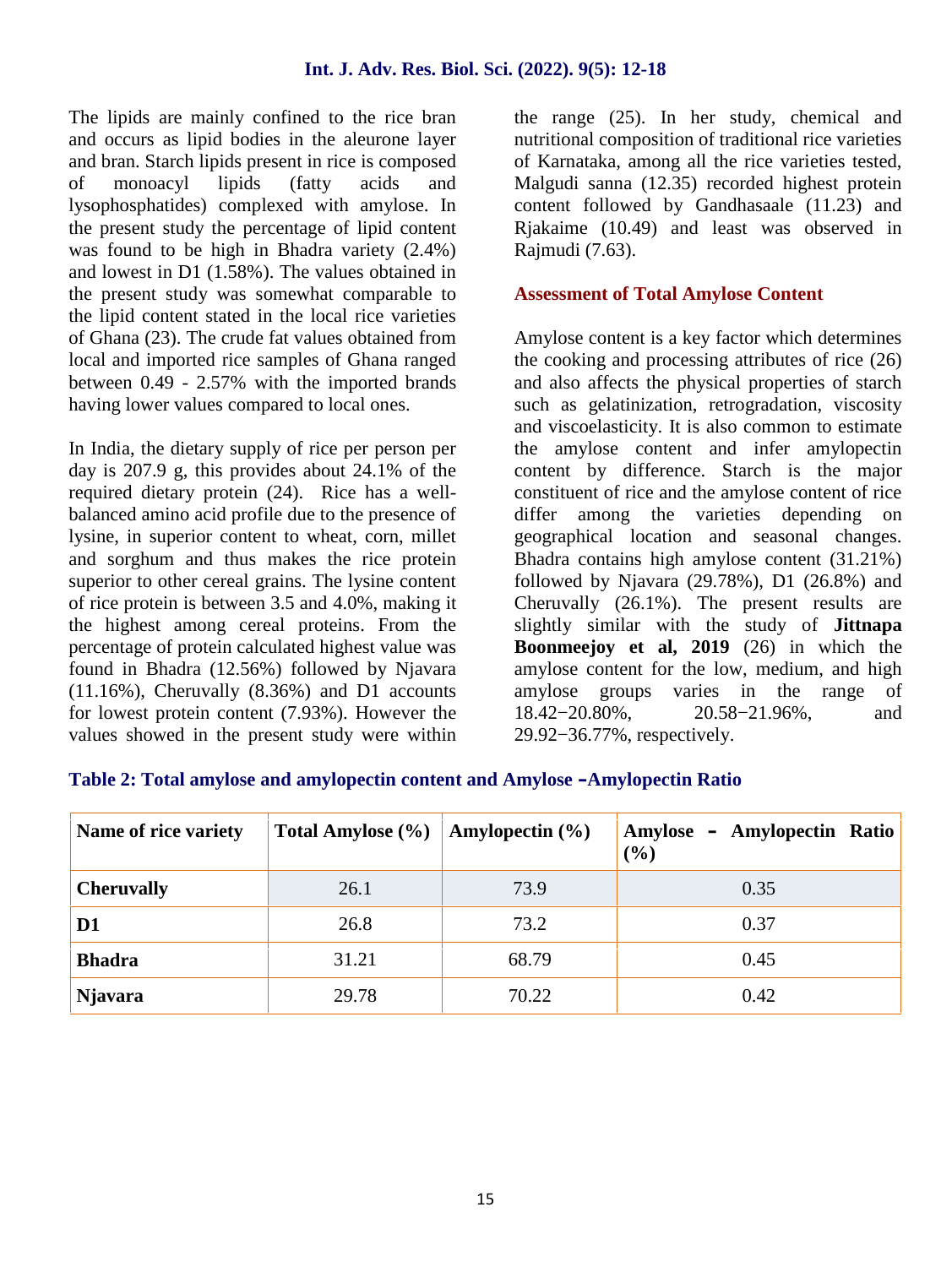The lipids are mainly confined to the rice bran and occurs as lipid bodies in the aleurone layer and bran. Starch lipids present in rice is composed of monoacyl lipids (fatty acids and lysophosphatides) complexed with amylose. In the present study the percentage of lipid content was found to be high in Bhadra variety (2.4%) and lowest in D1 (1.58%). The values obtained in the present study was somewhat comparable to the lipid content stated in the local rice varieties of Ghana (23). The crude fat values obtained from local and imported rice samples of Ghana ranged between 0.49 - 2.57% with the imported brands having lower values compared to local ones.

In India, the dietary supply of rice per person per day is 207.9 g, this provides about 24.1% of the required dietary protein (24). Rice has a well balanced amino acid profile due to the presence of lysine, in superior content to wheat, corn, millet and sorghum and thus makes the rice protein superior to other cereal grains. The lysine content of rice protein is between 3.5 and 4.0%, making it the highest among cereal proteins. From the percentage of protein calculated highest value was found in Bhadra (12.56%) followed by Njavara (11.16%), Cheruvally (8.36%) and D1 accounts for lowest protein content (7.93%). However the  $18.42-20.80\%$ , values showed in the present study were within

the range (25). In her study, chemical and nutritional composition of traditional rice varieties of Karnataka, among all the rice varieties tested, Malgudi sanna (12.35) recorded highest protein content followed by Gandhasaale (11.23) and Rjakaime (10.49) and least was observed in Rajmudi (7.63).

#### **Assessment of Total Amylose Content**

Amylose content is a key factor which determines the cooking and processing attributes of rice (26) and also affects the physical properties of starch such as gelatinization, retrogradation, viscosity and viscoelasticity. It is also common to estimate the amylose content and infer amylopectin content by difference. Starch is the major constituent of rice and the amylose content of rice differ among the varieties depending on geographical location and seasonal changes. Bhadra contains high amylose content (31.21%) followed by Njavara (29.78%), D1 (26.8%) and Cheruvally (26.1%). The present results are slightly similar with the study of **Jittnapa Boonmeejoy et al, 2019** (26) in which the amylose content for the low, medium, and high amylose groups varies in the range of 20.58−21.96%, and 29.92−36.77%, respectively.

#### **Table 2: Total amylose and amylopectin content and Amylose –Amylopectin Ratio**

| Name of rice variety | Total Amylose (%) | Amylopectin $(\% )$ | Amylose – Amylopectin Ratio<br>$(\%)$ |
|----------------------|-------------------|---------------------|---------------------------------------|
| <b>Cheruvally</b>    | 26.1              | 73.9                | 0.35                                  |
| D <sub>1</sub>       | 26.8              | 73.2                | 0.37                                  |
| <b>Bhadra</b>        | 31.21             | 68.79               | 0.45                                  |
| <b>Njavara</b>       | 29.78             | 70.22               | 0.42                                  |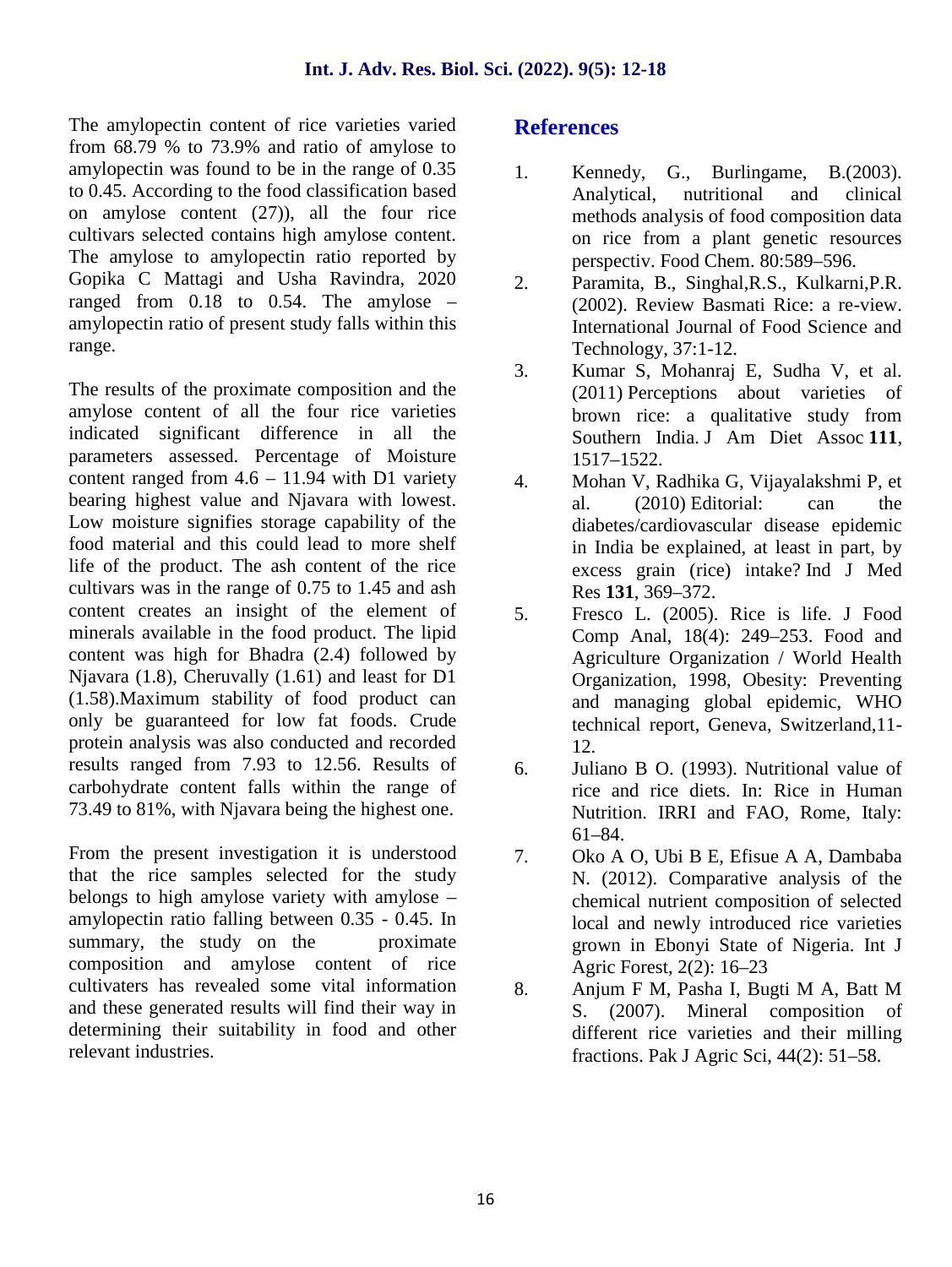#### **Int. J. Adv. Res. Biol. Sci. (2022). 9(5): 12-18**

The amylopectin content of rice varieties varied from 68.79 % to 73.9% and ratio of amylose to amylopectin was found to be in the range of 0.35 to 0.45. According to the food classification based on amylose content (27)), all the four rice cultivars selected contains high amylose content. The amylose to amylopectin ratio reported by Gopika C Mattagi and Usha Ravindra, 2020 ranged from 0.18 to 0.54. The amylose – amylopectin ratio of present study falls within this range.

The results of the proximate composition and the amylose content of all the four rice varieties indicated significant difference in all the parameters assessed. Percentage of Moisture content ranged from  $4.6 - 11.94$  with D1 variety  $4.6 - 11.94$ bearing highest value and Njavara with lowest. Low moisture signifies storage capability of the food material and this could lead to more shelf life of the product. The ash content of the rice cultivars was in the range of 0.75 to 1.45 and ash content creates an insight of the element of minerals available in the food product. The lipid content was high for Bhadra (2.4) followed by Njavara (1.8), Cheruvally (1.61) and least for D1 (1.58).Maximum stability of food product can only be guaranteed for low fat foods. Crude protein analysis was also conducted and recorded results ranged from 7.93 to 12.56. Results of carbohydrate content falls within the range of 73.49 to 81%, with Njavara being the highest one.

From the present investigation it is understood  $\overline{7}$ that the rice samples selected for the study belongs to high amylose variety with amylose – amylopectin ratio falling between 0.35 - 0.45. In summary, the study on the proximate composition and amylose content of rice cultivaters has revealed some vital information and these generated results will find their way in determining their suitability in food and other relevant industries.

#### **References**

- Kennedy, G., Burlingame, B.(2003). Analytical, nutritional and clinical methods analysis of food composition data on rice from a plant genetic resources perspectiv. Food Chem. 80:589–596.
- 2. Paramita, B., Singhal,R.S., Kulkarni,P.R. (2002). Review Basmati Rice: a re-view. International Journal of Food Science and Technology, 37:1-12.
- 3. Kumar S, Mohanraj E, Sudha V, et al. (2011) Perceptions about varieties of brown rice: a qualitative study from Southern India. J Am Diet Assoc **111**, 1517–1522.
- 4. Mohan V, Radhika G, Vijayalakshmi P, et al. (2010) Editorial: can the diabetes/cardiovascular disease epidemic in India be explained, at least in part, by excess grain (rice) intake? Ind J Med Res **131**, 369–372.
- 5. Fresco L. (2005). Rice is life. J Food Comp Anal, 18(4): 249–253. Food and Agriculture Organization / World Health Organization, 1998, Obesity: Preventing and managing global epidemic, WHO technical report, Geneva, Switzerland,11- 12.
- 6. Juliano B O. (1993). Nutritional value of rice and rice diets. In: Rice in Human Nutrition. IRRI and FAO, Rome, Italy: 61–84.
- 7. Oko A O, Ubi B E, Efisue A A, Dambaba N. (2012). Comparative analysis of the chemical nutrient composition of selected local and newly introduced rice varieties grown in Ebonyi State of Nigeria. Int J Agric Forest, 2(2): 16–23
- 8. Anjum F M, Pasha I, Bugti M A, Batt M S. (2007). Mineral composition of different rice varieties and their milling fractions. Pak J Agric Sci, 44(2): 51–58.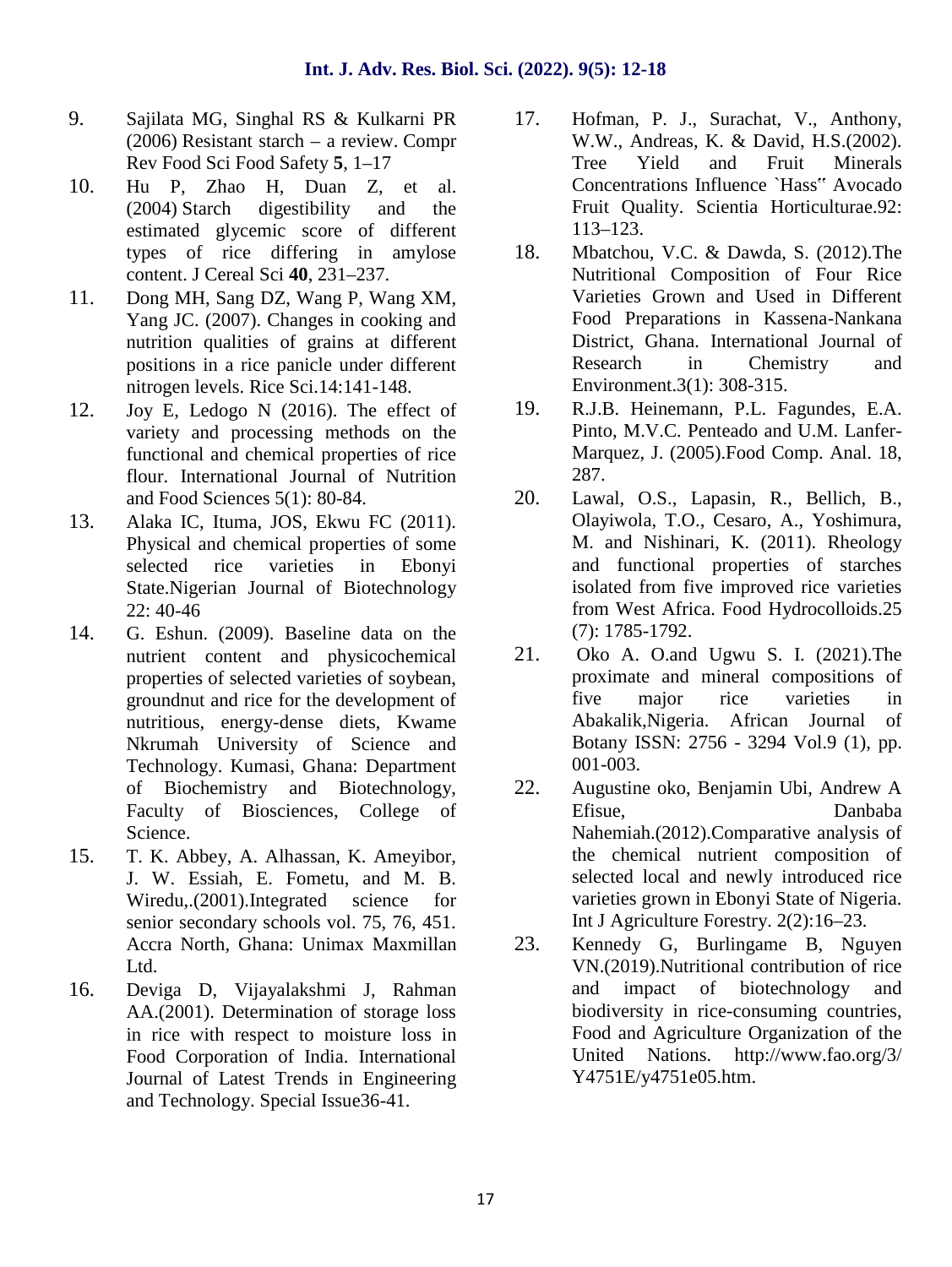- 9. Sajilata MG, Singhal RS & Kulkarni PR (2006) Resistant starch – a review. Compr Rev Food Sci Food Safety **5**, 1–17
- 10. Hu P, Zhao H, Duan Z, et al. (2004) Starch digestibility and the estimated glycemic score of different types of rice differing in amylose 18. content. J Cereal Sci **40**, 231–237.
- 11. Dong MH, Sang DZ, Wang P, Wang XM, Yang JC. (2007). Changes in cooking and nutrition qualities of grains at different positions in a rice panicle under different nitrogen levels. Rice Sci.14:141-148.
- 12. Joy E, Ledogo N (2016). The effect of variety and processing methods on the functional and chemical properties of rice flour. International Journal of Nutrition and Food Sciences 5(1): 80-84.
- 13. Alaka IC, Ituma, JOS, Ekwu FC (2011). Physical and chemical properties of some selected rice varieties in Ebonyi State.Nigerian Journal of Biotechnology 22: 40-46
- 14. G. Eshun. (2009). Baseline data on the<br>
nutrient content and physicochemical 21. nutrient content and physicochemical properties of selected varieties of soybean, groundnut and rice for the development of nutritious, energy-dense diets, Kwame Nkrumah University of Science and Technology. Kumasi, Ghana: Department of Biochemistry and Biotechnology, Faculty of Biosciences, College of Science.
- 15. T. K. Abbey, A. Alhassan, K. Ameyibor, J. W. Essiah, E. Fometu, and M. B. Wiredu,.(2001).Integrated science for senior secondary schools vol. 75, 76, 451. Accra North, Ghana: Unimax Maxmillan Ltd.
- 16. Deviga D, Vijayalakshmi J, Rahman AA.(2001). Determination of storage loss in rice with respect to moisture loss in Food Corporation of India. International Journal of Latest Trends in Engineering and Technology. Special Issue36-41.
- Hofman, P. J., Surachat, V., Anthony, W.W., Andreas, K. & David, H.S.(2002). Tree Yield and Fruit Minerals Concentrations Influence `Hass" Avocado Fruit Quality. Scientia Horticulturae.92: 113–123.
- Mbatchou, V.C. & Dawda, S. (2012).The Nutritional Composition of Four Rice Varieties Grown and Used in Different Food Preparations in Kassena-Nankana District, Ghana. International Journal of Research in Chemistry and Environment.3(1): 308-315.
- 19. R.J.B. Heinemann, P.L. Fagundes, E.A. Pinto, M.V.C. Penteado and U.M. Lanfer- Marquez, J. (2005).Food Comp. Anal. 18, 287.
- 20. Lawal, O.S., Lapasin, R., Bellich, B., Olayiwola, T.O., Cesaro, A., Yoshimura, M. and Nishinari, K. (2011). Rheology and functional properties of starches isolated from five improved rice varieties from West Africa. Food Hydrocolloids.25 (7): 1785-1792.
- Oko A. O.and Ugwu S. I. (2021). The proximate and mineral compositions of five major rice varieties in Abakalik,Nigeria. African Journal of Botany ISSN: 2756 - 3294 Vol.9 (1), pp. 001-003.
- 22. Augustine oko, Benjamin Ubi, Andrew A Efisue, Danbaba Nahemiah.(2012).Comparative analysis of the chemical nutrient composition of selected local and newly introduced rice varieties grown in Ebonyi State of Nigeria. Int J Agriculture Forestry. 2(2):16–23.
- 23. Kennedy G, Burlingame B, Nguyen VN.(2019).Nutritional contribution of rice and impact of biotechnology and biodiversity in rice-consuming countries, Food and Agriculture Organization of the United Nations. http://www.fao.org/3/ Y4751E/y4751e05.htm.